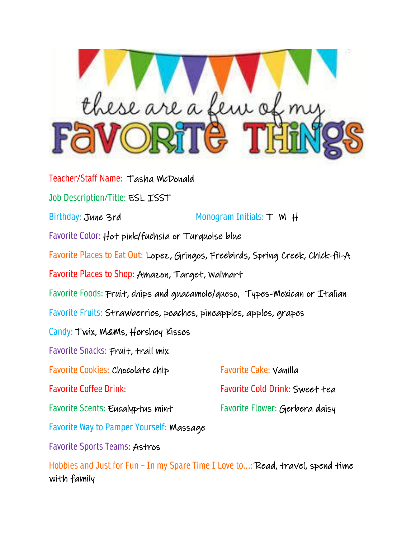

Teacher/Staff Name: Tasha McDonald Job Description/Title: ESL ISST Birthday: June 3rd Monogram Initials: T M H Favorite Color: Hot pink/fuchsia or Turquoise blue Favorite Places to Eat Out: Lopez, Gringos, Freebirds, Spring Creek, Chick-fil-A Favorite Places to Shop: Amazon, Target, Walmart Favorite Foods: Fruit, chips and guacamole/queso, Types-Mexican or Italian Favorite Fruits: Strawberries, peaches, pineapples, apples, grapes Candy: Twix, M&Ms, Hershey Kisses Favorite Snacks: Fruit, trail mix Favorite Cookies: Chocolate chip Favorite Cake: Vanilla Favorite Coffee Drink: Favorite Cold Drink: Sweet tea Favorite Scents: Eucalyptus mint Favorite Flower: Gerbera daisy Favorite Way to Pamper Yourself: Massage Favorite Sports Teams: Astros

Hobbies and Just for Fun – In my Spare Time I Love to...: Read, travel, spend time with family